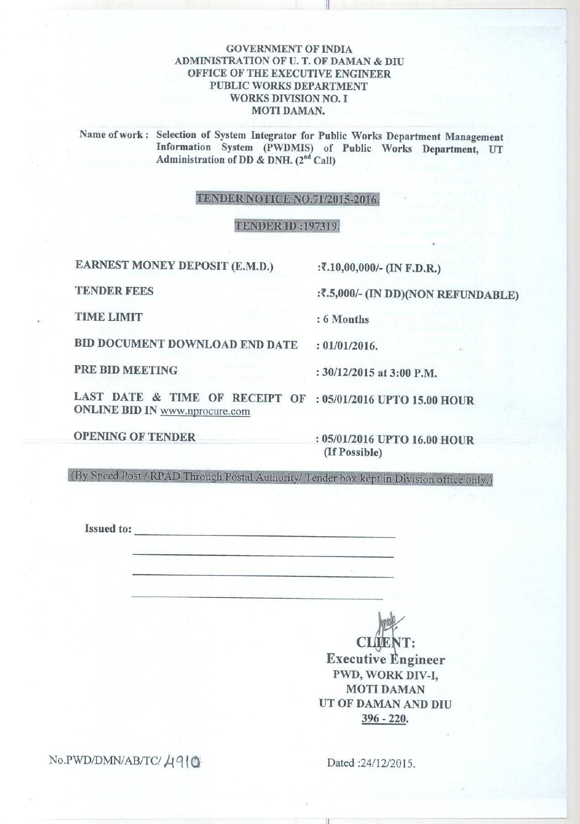# **GOVERNMENT OF INDIA ADMINISTRATION OF U. T**. **OF DAMAN & DIU OFFICE OF THE EXECUTIVE ENGINEER PUBLIC WORKS DEPARTMENT WORKS DIVISION NO. I MOTI DAMAN.**

it

**Name** of work : **Selection** of System **Integrator** for Public Works **Department Management Information** System (PWDMIS) of Public Works Department, UT **Administration** of DD & DNH. (2"d Call)

#### TENDER NOTICE NO.71/2015-2016.

#### TENDER ID :197319.

**EARNEST MONEY DEPOSIT** (**E.M.D.) :2**. **10,00**,**000/- (IN F.D.R.)**

**TENDER FEES** : **2.5,000**/- (**IN DD**)(**NON REFUNDABLE)**

**TIME LIMIT** : **6 Months**

**BID DOCUMENT DOWNLOAD END DATE : 01/01/2016.**

**PRE BID MEETING : 30/12**/**2015 at 3** : **00 P.M.**

**LAST DATE** & **TIME OF RECEIPT OF : 05**/**01/2016 UPTO 15.00 HOUR** ONLINE BID IN www.nprocure.com

OPENING OF TENDER : **05/01**/2016 UPTO **16.00 HOUR (If Possible)**

(By Speed Post / RPAD Through Postal Authority) Tender box kept in Division office only:.)

**Issued to:**

**CLIENT: Executive Engineer** PWD, WORK DIV-I, MOTI DAMAN UT OF DAMAN AND DIU 396 - 220.

No.PWD/DMN/AB/TC/ , q 1 Q **Dated** :24/12/2015.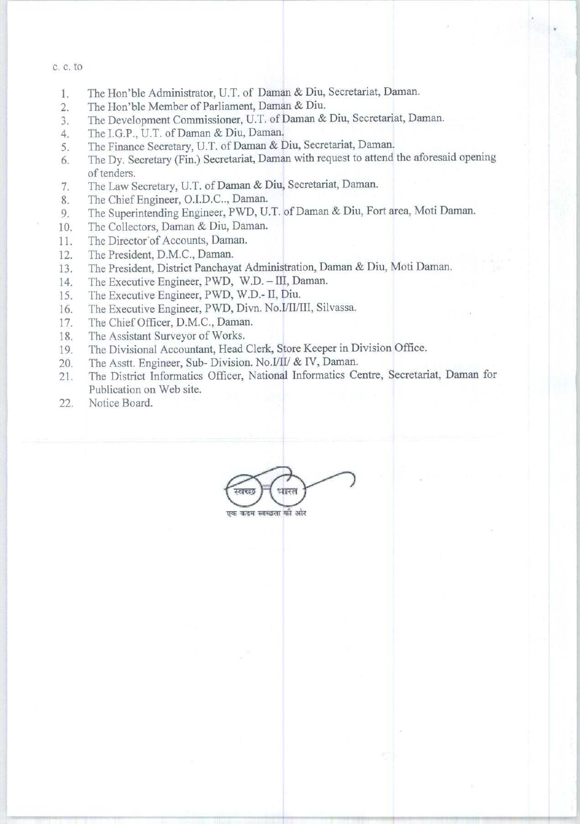#### C. C. to

- 1. The Hon'ble Administrator, U.T. of Daman & Diu, Secretariat, Daman.
- 2. The Hon'ble Member of Parliament, Daman & Diu.
- 3. The Development Commissioner, U.T. of Daman & Diu, Secretariat, Daman.
- 4. The I.G.P., U.T. of Daman & Diu, Daman.
- 5. The Finance Secretary, U.T. of Daman & Diu, Secretariat, Daman.
- 6. The Dy. Secretary (Fin.) Secretariat, Daman with request to attend the aforesaid **opening** of tenders.
- 7. The Law Secretary, U.T. of Daman & Diu, Secretariat, Daman.
- 8. The Chief Engineer, O.I.D.C.., Daman.
- 9. The Superintending Engineer, PWD, U.T. of Daman & Diu, Fort area, Moti Daman.
- 10. The Collectors, Daman & Diu, Daman.
- 11. The Director' of Accounts, Daman.
- 12. The President, D.M.C., Daman.
- 13. The President, District Panchayat Administration, Daman & Diu, Moti Daman.
- 14. The Executive Engineer, PWD, W.D. III, Daman.
- 15. The Executive Engineer, PWD, W.D.- II, Diu.
- 16. The Executive Engineer, PWD, Divn. No.I/II/III, Silvassa.
- 17. The Chief Officer, D.M.C., Daman.
- 18. The Assistant Surveyor of Works.
- 19. The Divisional Accountant, Head Clerk, Store Keeper in Division Office.
- 20. The Asstt. Engineer, Sub- Division. No.I/II/ & IV, Daman.
- 21. The District Informatics Officer, National Informatics Centre **, Secretariat**, Daman for Publication on Web site.
- 22, Notice Board.

धारत

एक कदम स्वच्छता की *ओर*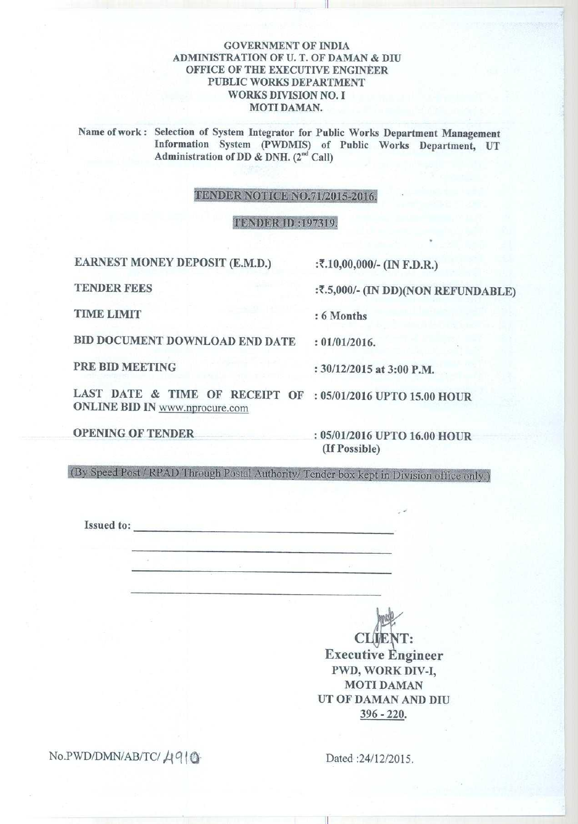# **GOVERNMENT OF INDIA ADMINISTRATION OF U. T. OF DAMAN & DIU OFFICE OF THE EXECUTIVE ENGINEER PUBLIC WORKS DEPARTMENT WORKS DIVISION NO. I MOTI DAMAN.**

it

**Name of work** : **Selection of System Integrator for Public Works Department Management Information System** (PWDMIS) **of Public Works Department, UT** Administration of DD & DNH. (2<sup>nd</sup> Call)

# TENDER NOTICE NO.71/2015-2016.

### TENDER ID:197319.

EARNEST MONEY DEPOSIT (E.M.D.) :7.10,00,000/- (IN F.D.R.)

TENDER **FEES** : **2.5,000**/- (**IN DD**)(NON REFUNDABLE)

TIME LIMIT<br>TIME LIMIT : 6 Months

BID DOCUMENT DOWNLOAD END DATE : **01/01/2016. PRE BID MEETING** : 30/12/2015 at 3:00 P.M.

LAST DATE & TIME OF RECEIPT OF : 05/01/2016 UPTO 15.00 HOUR ONLINE **BID IN** www.nprocure.com

OPENING OF TENDER **: 05/01** /2016 UPTO **16.00 HOUR (If Possible)**

(By Speed Post / RPAD Through Postal Authority/ Tender box kept in Division office only.)

**Issued to:**

CLIENT: **Executive** E**ngineer** PWD, WORK DIV-I, MOTI DAMAN UT OF DAMAN AND DIU **396 - 220.**

 $No.PWD/DMN/AB/TC/4910$ 

Dated :24/12/2015.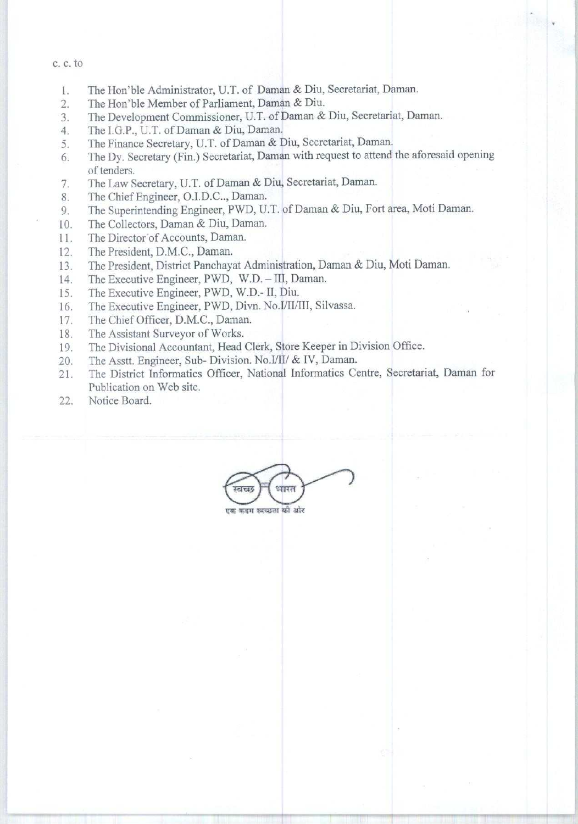#### c. C. to

- 1. The Hon'ble Administrator, U.T. of Daman & Diu, Secretariat, Daman.
- 2. The Hon'ble Member of Parliament, Daman & Diu.
- 3. The Development Commissioner, U.T. of Daman & Diu, Secretariat, Daman.
- 4. The I.G.P., U.T. of Daman & Diu, Daman.
- 5. The Finance Secretary, U.T. of Daman & Diu, Secretariat, Daman.
- 6. The Dy. Secretary (Fin.) Secretariat, Daman with request to attend the aforesaid opening of tenders.
- 7. The Law Secretary, U.T. of Daman & Diu, Secretariat, Daman.
- 8. The Chief Engineer, O.I.D.C.., Daman.
- 9. The Superintending Engineer, PWD, U.T. of Daman & Diu, Fort area, Moti Daman.
- 10. The Collectors, Daman & Diu, Daman.
- 11. The Director'of Accounts, Daman.
- 12. The President, D.M.C., Daman.
- 13. The President, District Panchayat Administration, Daman & Diu, Moti Daman.
- 14. The Executive Engineer, PWD, W.D. III, Daman.
- 15. The Executive Engineer, PWD, W.D.- II, Diu.
- 16. The Executive Engineer, PWD, Divn. No.1/1I/III, Silvassa.
- 17. The Chief Officer, D.M.C., Daman.
- 18. The Assistant Surveyor of Works.
- 19. The Divisional Accountant, Head Clerk, Store Keeper in Division Office.
- 20. The Asstt. Engineer, Sub- Division. No.I/II/ & IV, Daman.
- 21. The District Informatics Officer, National Informatics Centre **, Secretariat**, Daman for Publication on Web site.
- 22. Notice Board.

धारत

एक कदन स्वच्छता को अहेर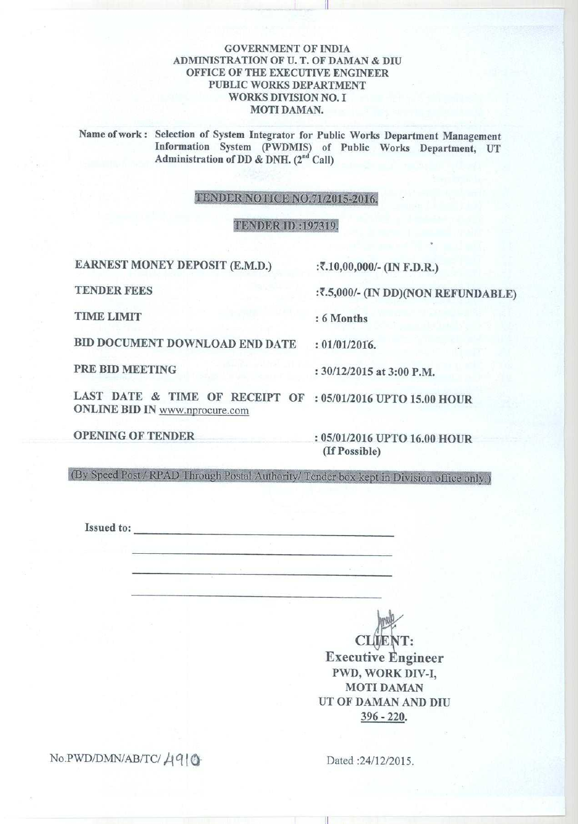# **GOVERNMENT OF INDIA ADMINISTRATION OF U. T**. **OF DAMAN & DIU OFFICE OF THE EXECUTIVE ENGINEER PUBLIC WORKS DEPARTMENT WORKS DIVISION NO. I MOTI DAMAN.**

ii

**Name** of work : **Selection** of System **Integrator** for Public Works **Department Management Information** System (PWDMIS) of Public Works Department, UT Administration of DD & DNH. (2<sup>nd</sup> Call)

### **TENDER** NOTICE NO.71/2015-2016.

### TENDER ID: 197319.

**EARNEST MONEY DEPOSIT** (**E.M.D.) :7**. **10,00,000/- (IN F.D.R.)**

**TENDER FEES** : **2.5,000**/- (**IN DD)(NON REFUNDABLE)**

**TIME LIMIT : 6 Months**

**BID DOCUMENT DOWNLOAD END DATE** : **01/01/2016.**

**PRE BID MEETING : 30/12/2015 at 3** : **00 P.M.**

LAST **DATE & TIME OF RECEIPT OF : 05**/**01/2016 UPTO 15.00 HOUR** ONLINE **BID IN** www.nprocure.com

**OPENING OF TENDER** : **05/01/2016 UPTO 16.00 HOUR (If Possible)**

(By Speed Post / RPAD Through Postal Authority/ Tender box kept in Division office only.)

**Issued to:**

**CLIENT: Executive Engineer** PWD, WORK DIV-I, MOTI DAMAN UT OF DAMAN AND DIU 396 - 220.

 $No.PWD/DMN/AB/TC/4910$  Dated:24/12/2015.